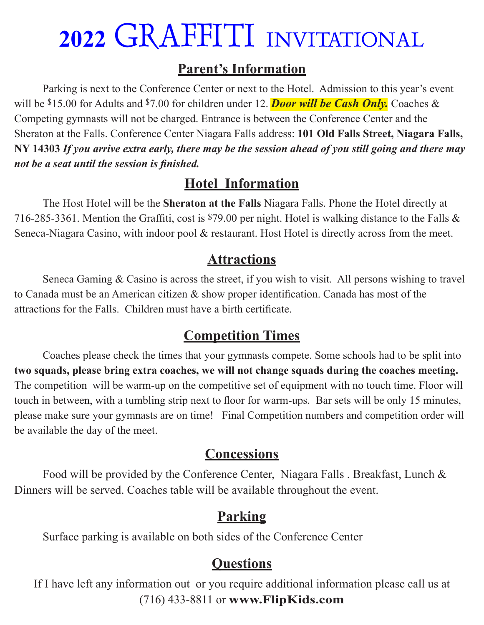#### **Parent's Information**

Parking is next to the Conference Center or next to the Hotel. Admission to this year's event will be \$15.00 for Adults and \$7.00 for children under 12. **Door will be Cash Only.** Coaches & Competing gymnasts will not be charged. Entrance is between the Conference Center and the Sheraton at the Falls. Conference Center Niagara Falls address: **101 Old Falls Street, Niagara Falls, NY 14303** *If you arrive extra early, there may be the session ahead of you still going and there may not be a seat until the session is finished.*

#### **Hotel Information**

The Host Hotel will be the **Sheraton at the Falls** Niagara Falls. Phone the Hotel directly at 716-285-3361. Mention the Graffiti, cost is \$79.00 per night. Hotel is walking distance to the Falls & Seneca-Niagara Casino, with indoor pool & restaurant. Host Hotel is directly across from the meet.

#### **Attractions**

Seneca Gaming & Casino is across the street, if you wish to visit. All persons wishing to travel to Canada must be an American citizen & show proper identification. Canada has most of the attractions for the Falls. Children must have a birth certificate.

#### **Competition Times**

Coaches please check the times that your gymnasts compete. Some schools had to be split into **two squads, please bring extra coaches, we will not change squads during the coaches meeting.**  The competition will be warm-up on the competitive set of equipment with no touch time. Floor will touch in between, with a tumbling strip next to floor for warm-ups. Bar sets will be only 15 minutes, please make sure your gymnasts are on time! Final Competition numbers and competition order will be available the day of the meet.

#### **Concessions**

Food will be provided by the Conference Center, Niagara Falls . Breakfast, Lunch & Dinners will be served. Coaches table will be available throughout the event.

#### **Parking**

Surface parking is available on both sides of the Conference Center

#### **Questions**

If I have left any information out or you require additional information please call us at (716) 433-8811 or **www.FlipKids.com**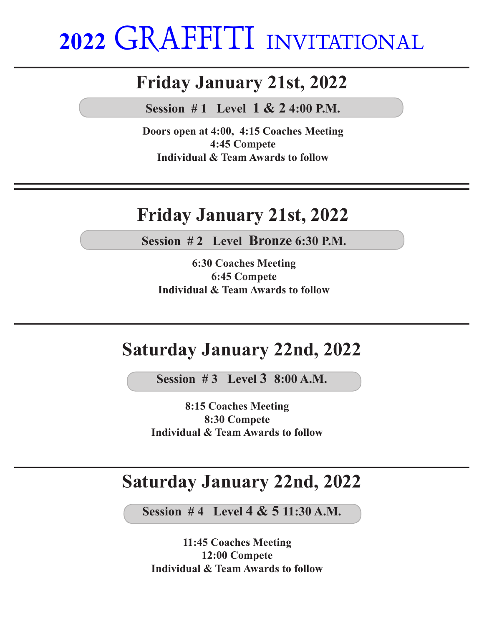### **Friday January 21st, 2022**

**Session # 1 Level 1 & 2 4:00 P.M.**

**Doors open at 4:00, 4:15 Coaches Meeting 4:45 Compete Individual & Team Awards to follow**

### **Friday January 21st, 2022**

**Session # 2 Level Bronze 6:30 P.M.**

**6:30 Coaches Meeting 6:45 Compete Individual & Team Awards to follow**

### **Saturday January 22nd, 2022**

**Session # 3 Level 3 8:00 A.M.**

**8:15 Coaches Meeting 8:30 Compete Individual & Team Awards to follow**

### **Saturday January 22nd, 2022**

**Session # 4 Level 4 & 5 11:30 A.M.**

**11:45 Coaches Meeting 12:00 Compete Individual & Team Awards to follow**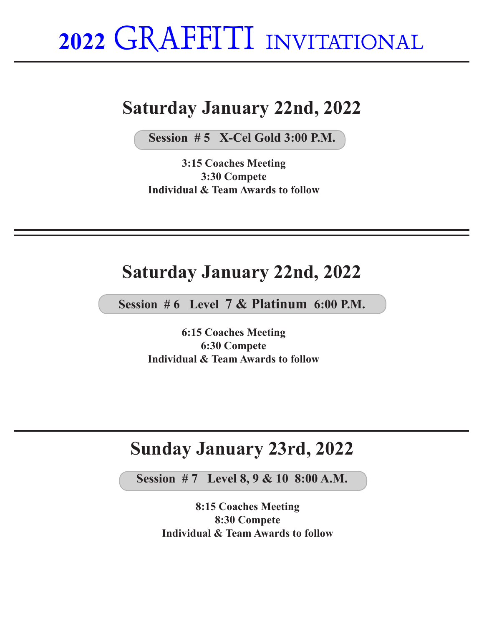### **Saturday January 22nd, 2022**

**Session # 5 X-Cel Gold 3:00 P.M.**

**3:15 Coaches Meeting 3:30 Compete Individual & Team Awards to follow**

#### **Saturday January 22nd, 2022**

**Session # 6 Level 7 & Platinum 6:00 P.M.**

**6:15 Coaches Meeting 6:30 Compete Individual & Team Awards to follow**

### **Sunday January 23rd, 2022**

**Session # 7 Level 8, 9 & 10 8:00 A.M.**

**8:15 Coaches Meeting 8:30 Compete Individual & Team Awards to follow**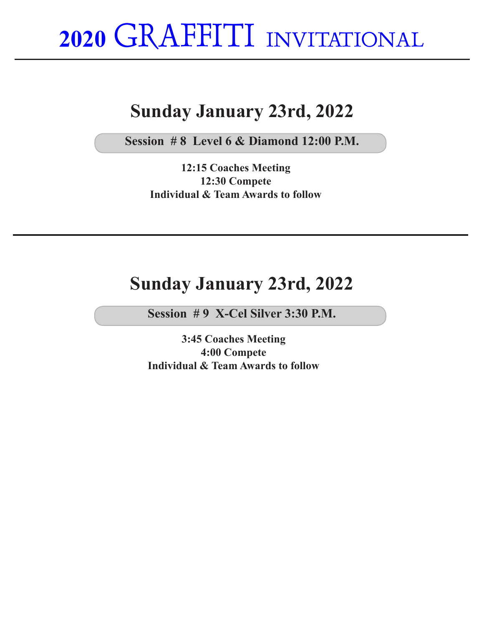## **Sunday January 23rd, 2022**

**Session # 8 Level 6 & Diamond 12:00 P.M.**

**12:15 Coaches Meeting 12:30 Compete Individual & Team Awards to follow**

#### **Sunday January 23rd, 2022**

**Session # 9 X-Cel Silver 3:30 P.M.**

**3:45 Coaches Meeting 4:00 Compete Individual & Team Awards to follow**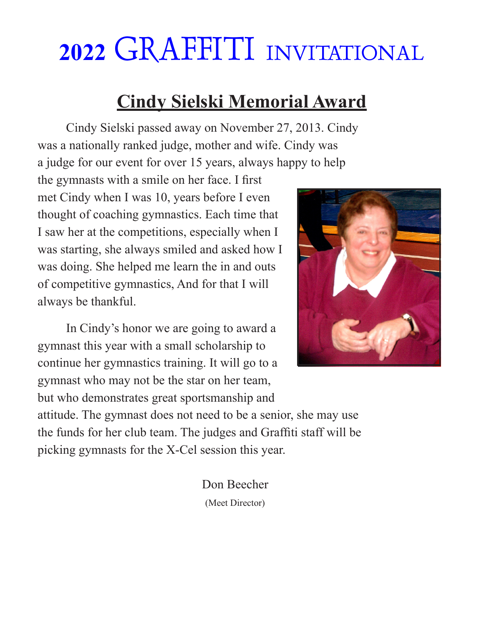## **Cindy Sielski Memorial Award**

Cindy Sielski passed away on November 27, 2013. Cindy was a nationally ranked judge, mother and wife. Cindy was a judge for our event for over 15 years, always happy to help

the gymnasts with a smile on her face. I first met Cindy when I was 10, years before I even thought of coaching gymnastics. Each time that I saw her at the competitions, especially when I was starting, she always smiled and asked how I was doing. She helped me learn the in and outs of competitive gymnastics, And for that I will always be thankful.

In Cindy's honor we are going to award a gymnast this year with a small scholarship to continue her gymnastics training. It will go to a gymnast who may not be the star on her team, but who demonstrates great sportsmanship and



attitude. The gymnast does not need to be a senior, she may use the funds for her club team. The judges and Graffiti staff will be picking gymnasts for the X-Cel session this year.

> Don Beecher (Meet Director)